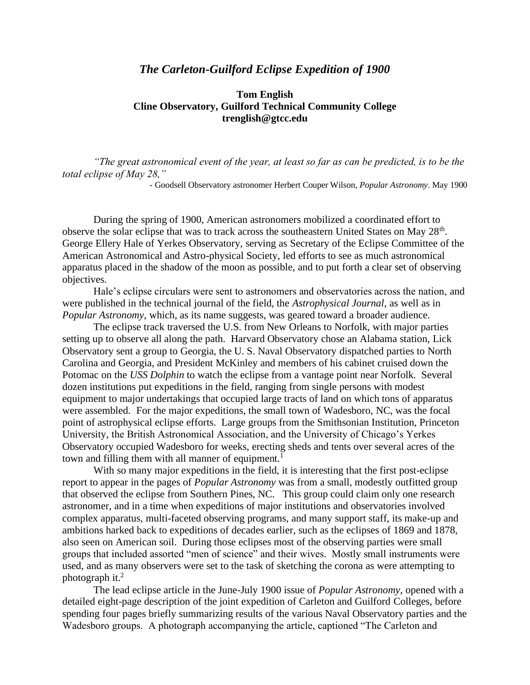## *The Carleton-Guilford Eclipse Expedition of 1900*

## **Tom English Cline Observatory, Guilford Technical Community College trenglish@gtcc.edu**

*"The great astronomical event of the year, at least so far as can be predicted, is to be the total eclipse of May 28,"* 

- Goodsell Observatory astronomer Herbert Couper Wilson, *Popular Astronomy*. May 1900

During the spring of 1900, American astronomers mobilized a coordinated effort to observe the solar eclipse that was to track across the southeastern United States on May 28<sup>th</sup>. George Ellery Hale of Yerkes Observatory, serving as Secretary of the Eclipse Committee of the American Astronomical and Astro-physical Society, led efforts to see as much astronomical apparatus placed in the shadow of the moon as possible, and to put forth a clear set of observing objectives.

Hale's eclipse circulars were sent to astronomers and observatories across the nation, and were published in the technical journal of the field, the *Astrophysical Journal*, as well as in *Popular Astronomy*, which, as its name suggests, was geared toward a broader audience.

The eclipse track traversed the U.S. from New Orleans to Norfolk, with major parties setting up to observe all along the path. Harvard Observatory chose an Alabama station, Lick Observatory sent a group to Georgia, the U. S. Naval Observatory dispatched parties to North Carolina and Georgia, and President McKinley and members of his cabinet cruised down the Potomac on the *USS Dolphin* to watch the eclipse from a vantage point near Norfolk. Several dozen institutions put expeditions in the field, ranging from single persons with modest equipment to major undertakings that occupied large tracts of land on which tons of apparatus were assembled. For the major expeditions, the small town of Wadesboro, NC, was the focal point of astrophysical eclipse efforts. Large groups from the Smithsonian Institution, Princeton University, the British Astronomical Association, and the University of Chicago's Yerkes Observatory occupied Wadesboro for weeks, erecting sheds and tents over several acres of the town and filling them with all manner of equipment.<sup>1</sup>

With so many major expeditions in the field, it is interesting that the first post-eclipse report to appear in the pages of *Popular Astronomy* was from a small, modestly outfitted group that observed the eclipse from Southern Pines, NC. This group could claim only one research astronomer, and in a time when expeditions of major institutions and observatories involved complex apparatus, multi-faceted observing programs, and many support staff, its make-up and ambitions harked back to expeditions of decades earlier, such as the eclipses of 1869 and 1878, also seen on American soil. During those eclipses most of the observing parties were small groups that included assorted "men of science" and their wives. Mostly small instruments were used, and as many observers were set to the task of sketching the corona as were attempting to photograph it.<sup>2</sup>

The lead eclipse article in the June-July 1900 issue of *Popular Astronomy*, opened with a detailed eight-page description of the joint expedition of Carleton and Guilford Colleges, before spending four pages briefly summarizing results of the various Naval Observatory parties and the Wadesboro groups. A photograph accompanying the article, captioned "The Carleton and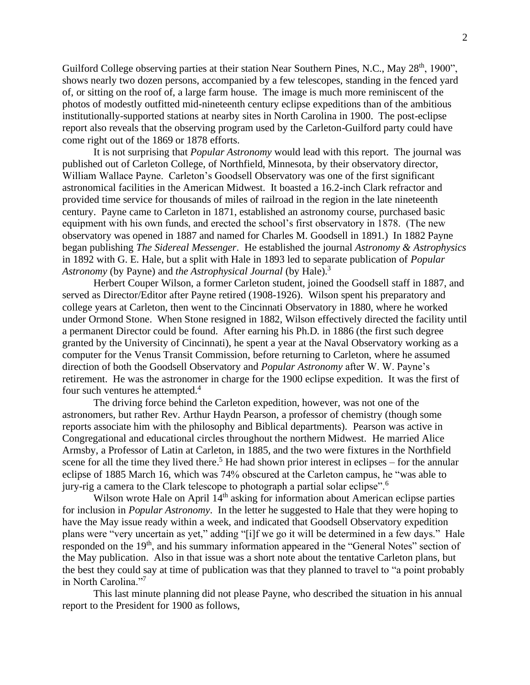Guilford College observing parties at their station Near Southern Pines, N.C., May 28<sup>th</sup>, 1900", shows nearly two dozen persons, accompanied by a few telescopes, standing in the fenced yard of, or sitting on the roof of, a large farm house. The image is much more reminiscent of the photos of modestly outfitted mid-nineteenth century eclipse expeditions than of the ambitious institutionally-supported stations at nearby sites in North Carolina in 1900. The post-eclipse report also reveals that the observing program used by the Carleton-Guilford party could have come right out of the 1869 or 1878 efforts.

It is not surprising that *Popular Astronomy* would lead with this report. The journal was published out of Carleton College, of Northfield, Minnesota, by their observatory director, William Wallace Payne. Carleton's Goodsell Observatory was one of the first significant astronomical facilities in the American Midwest. It boasted a 16.2-inch Clark refractor and provided time service for thousands of miles of railroad in the region in the late nineteenth century. Payne came to Carleton in 1871, established an astronomy course, purchased basic equipment with his own funds, and erected the school's first observatory in 1878. (The new observatory was opened in 1887 and named for Charles M. Goodsell in 1891.) In 1882 Payne began publishing *The Sidereal Messenger*. He established the journal *Astronomy & Astrophysics* in 1892 with G. E. Hale, but a split with Hale in 1893 led to separate publication of *Popular Astronomy* (by Payne) and *the Astrophysical Journal* (by Hale).<sup>3</sup>

Herbert Couper Wilson, a former Carleton student, joined the Goodsell staff in 1887, and served as Director/Editor after Payne retired (1908-1926). Wilson spent his preparatory and college years at Carleton, then went to the Cincinnati Observatory in 1880, where he worked under Ormond Stone. When Stone resigned in 1882, Wilson effectively directed the facility until a permanent Director could be found. After earning his Ph.D. in 1886 (the first such degree granted by the University of Cincinnati), he spent a year at the Naval Observatory working as a computer for the Venus Transit Commission, before returning to Carleton, where he assumed direction of both the Goodsell Observatory and *Popular Astronomy* after W. W. Payne's retirement. He was the astronomer in charge for the 1900 eclipse expedition. It was the first of four such ventures he attempted.<sup>4</sup>

The driving force behind the Carleton expedition, however, was not one of the astronomers, but rather Rev. Arthur Haydn Pearson, a professor of chemistry (though some reports associate him with the philosophy and Biblical departments). Pearson was active in Congregational and educational circles throughout the northern Midwest. He married Alice Armsby, a Professor of Latin at Carleton, in 1885, and the two were fixtures in the Northfield scene for all the time they lived there.<sup>5</sup> He had shown prior interest in eclipses – for the annular eclipse of 1885 March 16, which was 74% obscured at the Carleton campus, he "was able to jury-rig a camera to the Clark telescope to photograph a partial solar eclipse".<sup>6</sup>

Wilson wrote Hale on April 14<sup>th</sup> asking for information about American eclipse parties for inclusion in *Popular Astronomy*. In the letter he suggested to Hale that they were hoping to have the May issue ready within a week, and indicated that Goodsell Observatory expedition plans were "very uncertain as yet," adding "[i]f we go it will be determined in a few days." Hale responded on the 19<sup>th</sup>, and his summary information appeared in the "General Notes" section of the May publication. Also in that issue was a short note about the tentative Carleton plans, but the best they could say at time of publication was that they planned to travel to "a point probably in North Carolina."<sup>7</sup>

This last minute planning did not please Payne, who described the situation in his annual report to the President for 1900 as follows,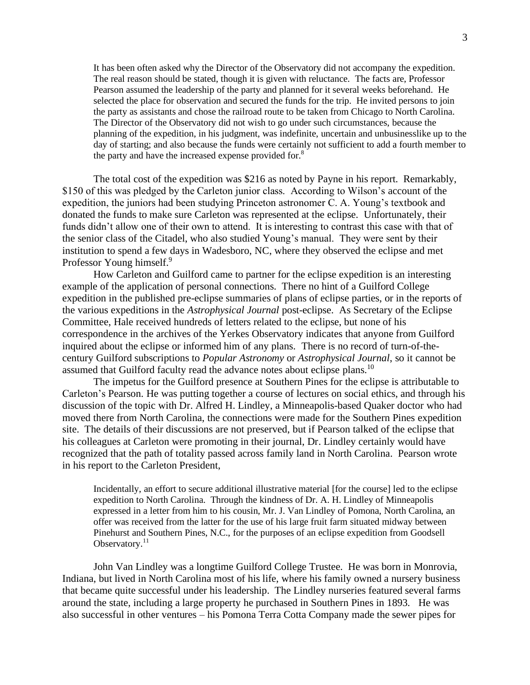It has been often asked why the Director of the Observatory did not accompany the expedition. The real reason should be stated, though it is given with reluctance. The facts are, Professor Pearson assumed the leadership of the party and planned for it several weeks beforehand. He selected the place for observation and secured the funds for the trip. He invited persons to join the party as assistants and chose the railroad route to be taken from Chicago to North Carolina. The Director of the Observatory did not wish to go under such circumstances, because the planning of the expedition, in his judgment, was indefinite, uncertain and unbusinesslike up to the day of starting; and also because the funds were certainly not sufficient to add a fourth member to the party and have the increased expense provided for.<sup>8</sup>

The total cost of the expedition was \$216 as noted by Payne in his report. Remarkably, \$150 of this was pledged by the Carleton junior class. According to Wilson's account of the expedition, the juniors had been studying Princeton astronomer C. A. Young's textbook and donated the funds to make sure Carleton was represented at the eclipse. Unfortunately, their funds didn't allow one of their own to attend. It is interesting to contrast this case with that of the senior class of the Citadel, who also studied Young's manual. They were sent by their institution to spend a few days in Wadesboro, NC, where they observed the eclipse and met Professor Young himself.<sup>9</sup>

How Carleton and Guilford came to partner for the eclipse expedition is an interesting example of the application of personal connections. There no hint of a Guilford College expedition in the published pre-eclipse summaries of plans of eclipse parties, or in the reports of the various expeditions in the *Astrophysical Journal* post-eclipse. As Secretary of the Eclipse Committee, Hale received hundreds of letters related to the eclipse, but none of his correspondence in the archives of the Yerkes Observatory indicates that anyone from Guilford inquired about the eclipse or informed him of any plans. There is no record of turn-of-thecentury Guilford subscriptions to *Popular Astronomy* or *Astrophysical Journal*, so it cannot be assumed that Guilford faculty read the advance notes about eclipse plans.<sup>10</sup>

The impetus for the Guilford presence at Southern Pines for the eclipse is attributable to Carleton's Pearson. He was putting together a course of lectures on social ethics, and through his discussion of the topic with Dr. Alfred H. Lindley, a Minneapolis-based Quaker doctor who had moved there from North Carolina, the connections were made for the Southern Pines expedition site. The details of their discussions are not preserved, but if Pearson talked of the eclipse that his colleagues at Carleton were promoting in their journal, Dr. Lindley certainly would have recognized that the path of totality passed across family land in North Carolina. Pearson wrote in his report to the Carleton President,

Incidentally, an effort to secure additional illustrative material [for the course] led to the eclipse expedition to North Carolina. Through the kindness of Dr. A. H. Lindley of Minneapolis expressed in a letter from him to his cousin, Mr. J. Van Lindley of Pomona, North Carolina, an offer was received from the latter for the use of his large fruit farm situated midway between Pinehurst and Southern Pines, N.C., for the purposes of an eclipse expedition from Goodsell Observatory.<sup>11</sup>

John Van Lindley was a longtime Guilford College Trustee. He was born in Monrovia, Indiana, but lived in North Carolina most of his life, where his family owned a nursery business that became quite successful under his leadership. The Lindley nurseries featured several farms around the state, including a large property he purchased in Southern Pines in 1893. He was also successful in other ventures – his Pomona Terra Cotta Company made the sewer pipes for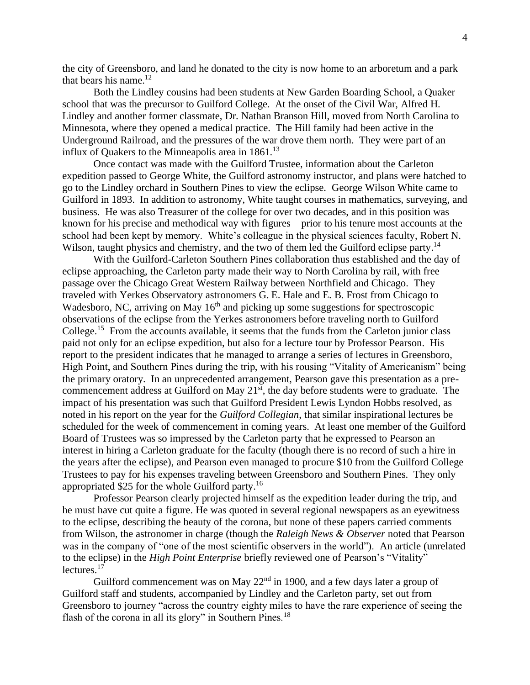the city of Greensboro, and land he donated to the city is now home to an arboretum and a park that bears his name. $^{12}$ 

Both the Lindley cousins had been students at New Garden Boarding School, a Quaker school that was the precursor to Guilford College. At the onset of the Civil War, Alfred H. Lindley and another former classmate, Dr. Nathan Branson Hill, moved from North Carolina to Minnesota, where they opened a medical practice. The Hill family had been active in the Underground Railroad, and the pressures of the war drove them north. They were part of an influx of Quakers to the Minneapolis area in  $1861$ <sup>13</sup>

Once contact was made with the Guilford Trustee, information about the Carleton expedition passed to George White, the Guilford astronomy instructor, and plans were hatched to go to the Lindley orchard in Southern Pines to view the eclipse. George Wilson White came to Guilford in 1893. In addition to astronomy, White taught courses in mathematics, surveying, and business. He was also Treasurer of the college for over two decades, and in this position was known for his precise and methodical way with figures – prior to his tenure most accounts at the school had been kept by memory. White's colleague in the physical sciences faculty, Robert N. Wilson, taught physics and chemistry, and the two of them led the Guilford eclipse party.<sup>14</sup>

With the Guilford-Carleton Southern Pines collaboration thus established and the day of eclipse approaching, the Carleton party made their way to North Carolina by rail, with free passage over the Chicago Great Western Railway between Northfield and Chicago. They traveled with Yerkes Observatory astronomers G. E. Hale and E. B. Frost from Chicago to Wadesboro, NC, arriving on May  $16<sup>th</sup>$  and picking up some suggestions for spectroscopic observations of the eclipse from the Yerkes astronomers before traveling north to Guilford College.<sup>15</sup> From the accounts available, it seems that the funds from the Carleton junior class paid not only for an eclipse expedition, but also for a lecture tour by Professor Pearson. His report to the president indicates that he managed to arrange a series of lectures in Greensboro, High Point, and Southern Pines during the trip, with his rousing "Vitality of Americanism" being the primary oratory. In an unprecedented arrangement, Pearson gave this presentation as a precommencement address at Guilford on May  $21<sup>st</sup>$ , the day before students were to graduate. The impact of his presentation was such that Guilford President Lewis Lyndon Hobbs resolved, as noted in his report on the year for the *Guilford Collegian*, that similar inspirational lectures be scheduled for the week of commencement in coming years. At least one member of the Guilford Board of Trustees was so impressed by the Carleton party that he expressed to Pearson an interest in hiring a Carleton graduate for the faculty (though there is no record of such a hire in the years after the eclipse), and Pearson even managed to procure \$10 from the Guilford College Trustees to pay for his expenses traveling between Greensboro and Southern Pines. They only appropriated \$25 for the whole Guilford party.<sup>16</sup>

Professor Pearson clearly projected himself as the expedition leader during the trip, and he must have cut quite a figure. He was quoted in several regional newspapers as an eyewitness to the eclipse, describing the beauty of the corona, but none of these papers carried comments from Wilson, the astronomer in charge (though the *Raleigh News & Observer* noted that Pearson was in the company of "one of the most scientific observers in the world"). An article (unrelated to the eclipse) in the *High Point Enterprise* briefly reviewed one of Pearson's "Vitality" lectures.<sup>17</sup>

Guilford commencement was on May  $22<sup>nd</sup>$  in 1900, and a few days later a group of Guilford staff and students, accompanied by Lindley and the Carleton party, set out from Greensboro to journey "across the country eighty miles to have the rare experience of seeing the flash of the corona in all its glory" in Southern Pines.<sup>18</sup>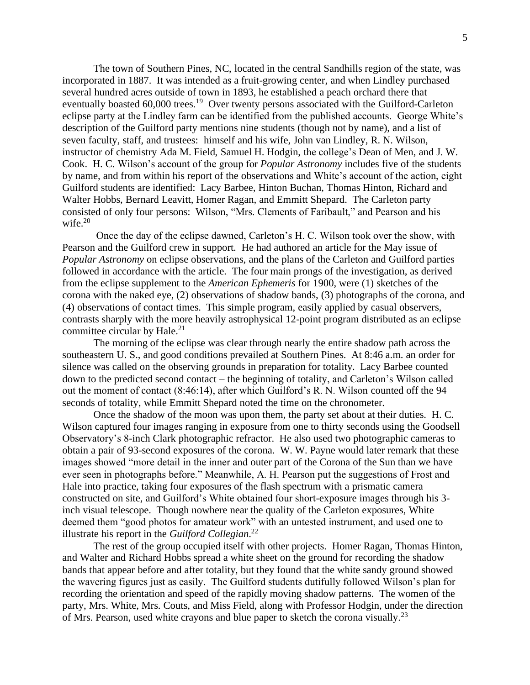The town of Southern Pines, NC, located in the central Sandhills region of the state, was incorporated in 1887. It was intended as a fruit-growing center, and when Lindley purchased several hundred acres outside of town in 1893, he established a peach orchard there that eventually boasted 60,000 trees.<sup>19</sup> Over twenty persons associated with the Guilford-Carleton eclipse party at the Lindley farm can be identified from the published accounts. George White's description of the Guilford party mentions nine students (though not by name), and a list of seven faculty, staff, and trustees: himself and his wife, John van Lindley, R. N. Wilson, instructor of chemistry Ada M. Field, Samuel H. Hodgin, the college's Dean of Men, and J. W. Cook. H. C. Wilson's account of the group for *Popular Astronomy* includes five of the students by name, and from within his report of the observations and White's account of the action, eight Guilford students are identified: Lacy Barbee, Hinton Buchan, Thomas Hinton, Richard and Walter Hobbs, Bernard Leavitt, Homer Ragan, and Emmitt Shepard. The Carleton party consisted of only four persons: Wilson, "Mrs. Clements of Faribault," and Pearson and his wife. 20

Once the day of the eclipse dawned, Carleton's H. C. Wilson took over the show, with Pearson and the Guilford crew in support. He had authored an article for the May issue of *Popular Astronomy* on eclipse observations, and the plans of the Carleton and Guilford parties followed in accordance with the article. The four main prongs of the investigation, as derived from the eclipse supplement to the *American Ephemeris* for 1900, were (1) sketches of the corona with the naked eye, (2) observations of shadow bands, (3) photographs of the corona, and (4) observations of contact times. This simple program, easily applied by casual observers, contrasts sharply with the more heavily astrophysical 12-point program distributed as an eclipse committee circular by Hale. $^{21}$ 

The morning of the eclipse was clear through nearly the entire shadow path across the southeastern U. S., and good conditions prevailed at Southern Pines. At 8:46 a.m. an order for silence was called on the observing grounds in preparation for totality. Lacy Barbee counted down to the predicted second contact – the beginning of totality, and Carleton's Wilson called out the moment of contact (8:46:14), after which Guilford's R. N. Wilson counted off the 94 seconds of totality, while Emmitt Shepard noted the time on the chronometer.

Once the shadow of the moon was upon them, the party set about at their duties. H. C. Wilson captured four images ranging in exposure from one to thirty seconds using the Goodsell Observatory's 8-inch Clark photographic refractor. He also used two photographic cameras to obtain a pair of 93-second exposures of the corona. W. W. Payne would later remark that these images showed "more detail in the inner and outer part of the Corona of the Sun than we have ever seen in photographs before." Meanwhile, A. H. Pearson put the suggestions of Frost and Hale into practice, taking four exposures of the flash spectrum with a prismatic camera constructed on site, and Guilford's White obtained four short-exposure images through his 3 inch visual telescope. Though nowhere near the quality of the Carleton exposures, White deemed them "good photos for amateur work" with an untested instrument, and used one to illustrate his report in the *Guilford Collegian*. 22

The rest of the group occupied itself with other projects. Homer Ragan, Thomas Hinton, and Walter and Richard Hobbs spread a white sheet on the ground for recording the shadow bands that appear before and after totality, but they found that the white sandy ground showed the wavering figures just as easily. The Guilford students dutifully followed Wilson's plan for recording the orientation and speed of the rapidly moving shadow patterns. The women of the party, Mrs. White, Mrs. Couts, and Miss Field, along with Professor Hodgin, under the direction of Mrs. Pearson, used white crayons and blue paper to sketch the corona visually.<sup>23</sup>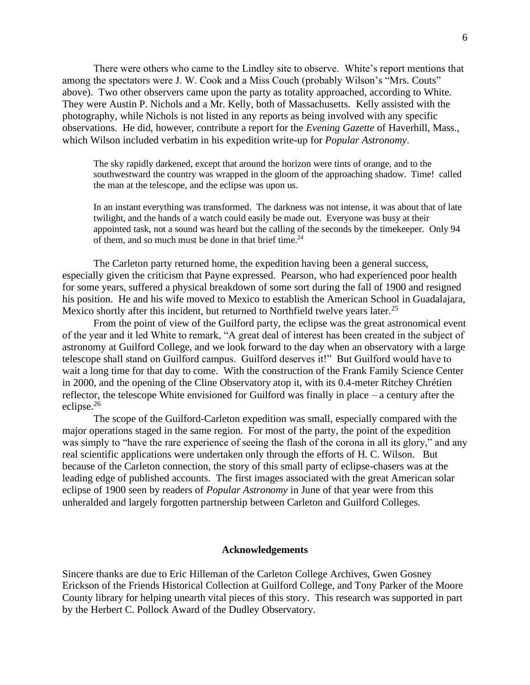There were others who came to the Lindley site to observe. White's report mentions that among the spectators were J. W. Cook and a Miss Couch (probably Wilson's "Mrs. Couts" above). Two other observers came upon the party as totality approached, according to White. They were Austin P. Nichols and a Mr. Kelly, both of Massachusetts. Kelly assisted with the photography, while Nichols is not listed in any reports as being involved with any specific observations. He did, however, contribute a report for the *Evening Gazette* of Haverhill, Mass., which Wilson included verbatim in his expedition write-up for *Popular Astronomy*.

The sky rapidly darkened, except that around the horizon were tints of orange, and to the southwestward the country was wrapped in the gloom of the approaching shadow. Time! called the man at the telescope, and the eclipse was upon us.

In an instant everything was transformed. The darkness was not intense, it was about that of late twilight, and the hands of a watch could easily be made out. Everyone was busy at their appointed task, not a sound was heard but the calling of the seconds by the timekeeper. Only 94 of them, and so much must be done in that brief time.<sup>24</sup>

The Carleton party returned home, the expedition having been a general success, especially given the criticism that Payne expressed. Pearson, who had experienced poor health for some years, suffered a physical breakdown of some sort during the fall of 1900 and resigned his position. He and his wife moved to Mexico to establish the American School in Guadalajara, Mexico shortly after this incident, but returned to Northfield twelve years later.<sup>25</sup>

From the point of view of the Guilford party, the eclipse was the great astronomical event of the year and it led White to remark, "A great deal of interest has been created in the subject of astronomy at Guilford College, and we look forward to the day when an observatory with a large telescope shall stand on Guilford campus. Guilford deserves it!" But Guilford would have to wait a long time for that day to come. With the construction of the Frank Family Science Center in 2000, and the opening of the Cline Observatory atop it, with its 0.4-meter Ritchey Chrétien reflector, the telescope White envisioned for Guilford was finally in place – a century after the eclipse.<sup>26</sup>

The scope of the Guilford-Carleton expedition was small, especially compared with the major operations staged in the same region. For most of the party, the point of the expedition was simply to "have the rare experience of seeing the flash of the corona in all its glory," and any real scientific applications were undertaken only through the efforts of H. C. Wilson. But because of the Carleton connection, the story of this small party of eclipse-chasers was at the leading edge of published accounts. The first images associated with the great American solar eclipse of 1900 seen by readers of *Popular Astronomy* in June of that year were from this unheralded and largely forgotten partnership between Carleton and Guilford Colleges.

## **Acknowledgements**

Sincere thanks are due to Eric Hilleman of the Carleton College Archives, Gwen Gosney Erickson of the Friends Historical Collection at Guilford College, and Tony Parker of the Moore County library for helping unearth vital pieces of this story. This research was supported in part by the Herbert C. Pollock Award of the Dudley Observatory.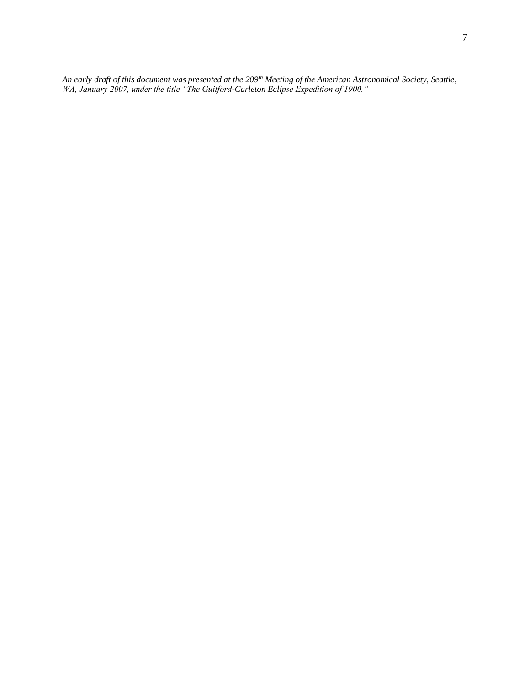*An early draft of this document was presented at the 209th Meeting of the American Astronomical Society, Seattle, WA, January 2007, under the title "The Guilford-Carleton Eclipse Expedition of 1900."*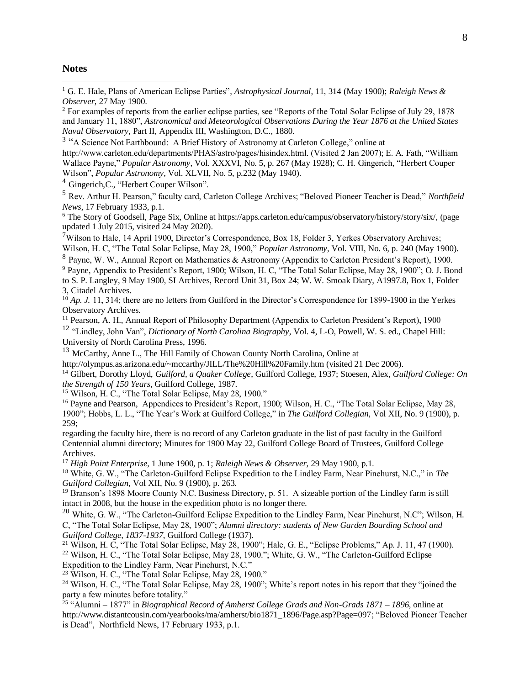## **Notes**

<sup>1</sup> G. E. Hale, Plans of American Eclipse Parties", *Astrophysical Journal,* 11, 314 (May 1900); *Raleigh News & Observer*, 27 May 1900.

<sup>2</sup> For examples of reports from the earlier eclipse parties, see "Reports of the Total Solar Eclipse of July 29, 1878 and January 11, 1880", *Astronomical and Meteorological Observations During the Year 1876 at the United States Naval Observatory*, Part II, Appendix III, Washington, D.C., 1880.

<sup>3</sup> "A Science Not Earthbound: A Brief History of Astronomy at Carleton College," online at http://www.carleton.edu/departments/PHAS/astro/pages/hisindex.html. (Visited 2 Jan 2007); E. A. Fath, "William Wallace Payne," *Popular Astronomy*, Vol. XXXVI, No. 5, p. 267 (May 1928); C. H. Gingerich, "Herbert Couper Wilson", *Popular Astronomy*, Vol. XLVII, No. 5, p.232 (May 1940).

<sup>4</sup> Gingerich,C., "Herbert Couper Wilson".

<sup>5</sup> Rev. Arthur H. Pearson," faculty card, Carleton College Archives; "Beloved Pioneer Teacher is Dead," *Northfield News*, 17 February 1933, p.1.

<sup>6</sup> The Story of Goodsell, Page Six, Online at https://apps.carleton.edu/campus/observatory/history/story/six/, (page updated 1 July 2015, visited 24 May 2020).

<sup>7</sup>Wilson to Hale, 14 April 1900, Director's Correspondence, Box 18, Folder 3, Yerkes Observatory Archives; Wilson, H. C, "The Total Solar Eclipse, May 28, 1900," *Popular Astronomy*, Vol. VIII, No. 6, p. 240 (May 1900).

 $8$  Payne, W. W., Annual Report on Mathematics & Astronomy (Appendix to Carleton President's Report), 1900.

<sup>9</sup> Payne, Appendix to President's Report, 1900; Wilson, H. C, "The Total Solar Eclipse, May 28, 1900"; O. J. Bond to S. P. Langley, 9 May 1900, SI Archives, Record Unit 31, Box 24; W. W. Smoak Diary, A1997.8, Box 1, Folder 3, Citadel Archives.

<sup>10</sup> *Ap. J.* 11, 314; there are no letters from Guilford in the Director's Correspondence for 1899-1900 in the Yerkes Observatory Archives.

<sup>11</sup> Pearson, A. H., Annual Report of Philosophy Department (Appendix to Carleton President's Report), 1900

<sup>12</sup> "Lindley, John Van", *Dictionary of North Carolina Biography*, Vol. 4, L-O, Powell, W. S. ed., Chapel Hill: University of North Carolina Press, 1996.

<sup>13</sup> McCarthy, Anne L., The Hill Family of Chowan County North Carolina, Online at

http://olympus.as.arizona.edu/~mccarthy/JILL/The%20Hill%20Family.htm (visited 21 Dec 2006).

<sup>14</sup> Gilbert, Dorothy Lloyd, *Guilford, a Quaker College*, Guilford College, 1937; Stoesen, Alex, *Guilford College: On the Strength of 150 Years*, Guilford College, 1987.

<sup>15</sup> Wilson, H. C., "The Total Solar Eclipse, May 28, 1900."

<sup>16</sup> Payne and Pearson, Appendices to President's Report, 1900; Wilson, H. C., "The Total Solar Eclipse, May 28, 1900"; Hobbs, L. L., "The Year's Work at Guilford College," in *The Guilford Collegian*, Vol XII, No. 9 (1900), p. 259;

regarding the faculty hire, there is no record of any Carleton graduate in the list of past faculty in the Guilford Centennial alumni directory; Minutes for 1900 May 22, Guilford College Board of Trustees, Guilford College Archives.

<sup>17</sup> *High Point Enterprise*, 1 June 1900, p. 1; *Raleigh News & Observer*, 29 May 1900, p.1.

<sup>18</sup> White, G. W., "The Carleton-Guilford Eclipse Expedition to the Lindley Farm, Near Pinehurst, N.C.," in *The Guilford Collegian*, Vol XII, No. 9 (1900), p. 263.

<sup>19</sup> Branson's 1898 Moore County N.C. Business Directory, p. 51. A sizeable portion of the Lindley farm is still intact in 2008, but the house in the expedition photo is no longer there.

<sup>20</sup> White, G. W., "The Carleton-Guilford Eclipse Expedition to the Lindley Farm, Near Pinehurst, N.C"; Wilson, H. C, "The Total Solar Eclipse, May 28, 1900"; *Alumni directory: students of New Garden Boarding School and Guilford College, 1837-1937*, Guilford College (1937).

<sup>21</sup> Wilson, H. C, "The Total Solar Eclipse, May 28, 1900"; Hale, G. E., "Eclipse Problems," Ap. J. 11, 47 (1900). <sup>22</sup> Wilson, H. C., "The Total Solar Eclipse, May 28, 1900."; White, G. W., "The Carleton-Guilford Eclipse Expedition to the Lindley Farm, Near Pinehurst, N.C."

<sup>23</sup> Wilson, H. C., "The Total Solar Eclipse, May 28, 1900."

<sup>24</sup> Wilson, H. C., "The Total Solar Eclipse, May 28, 1900"; White's report notes in his report that they "joined the party a few minutes before totality."

<sup>25</sup> "Alumni – 1877" in *Biographical Record of Amherst College Grads and Non-Grads 1871 – 1896*, online at http://www.distantcousin.com/yearbooks/ma/amherst/bio1871\_1896/Page.asp?Page=097; "Beloved Pioneer Teacher is Dead", Northfield News, 17 February 1933, p.1.